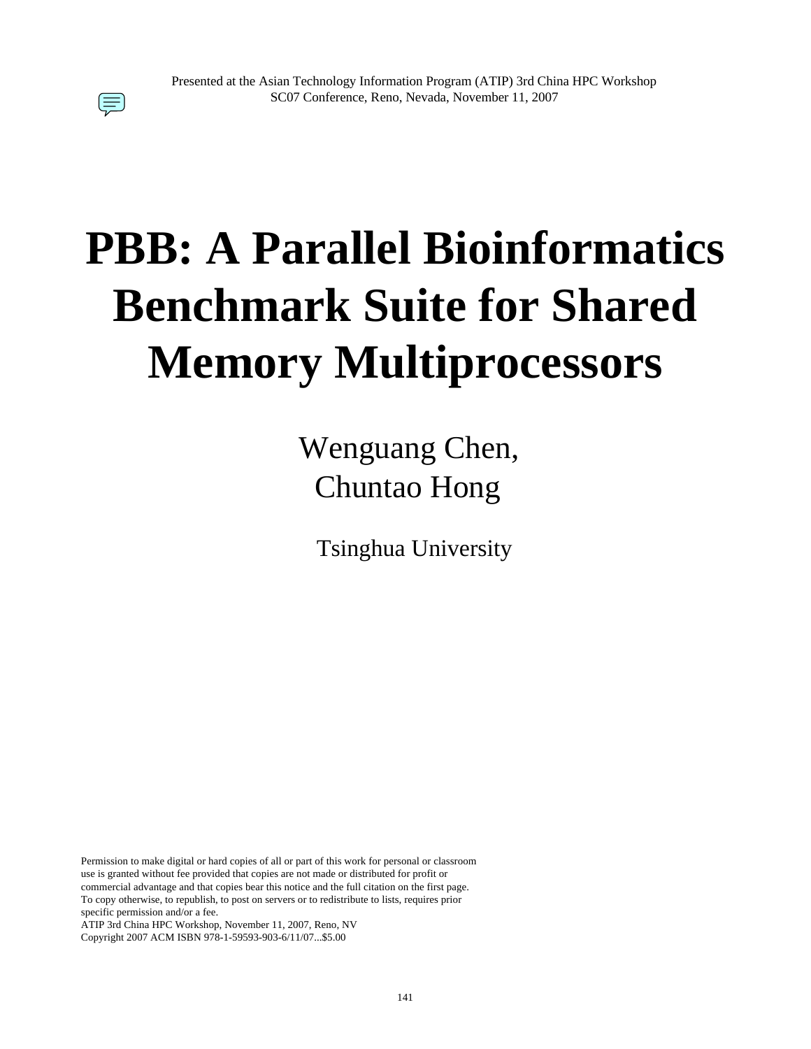# **PBB: A Parallel Bioinformatics Benchmark Suite for Shared Memory Multiprocessors**

## Wenguang Chen, Chuntao Hong

Tsinghua University

Permission to make digital or hard copies of all or part of this work for personal or classroom use is granted without fee provided that copies are not made or distributed for profit or commercial advantage and that copies bear this notice and the full citation on the first page. To copy otherwise, to republish, to post on servers or to redistribute to lists, requires prior specific permission and/or a fee.

ATIP 3rd China HPC Workshop, November 11, 2007, Reno, NV Copyright 2007 ACM ISBN 978-1-59593-903-6/11/07...\$5.00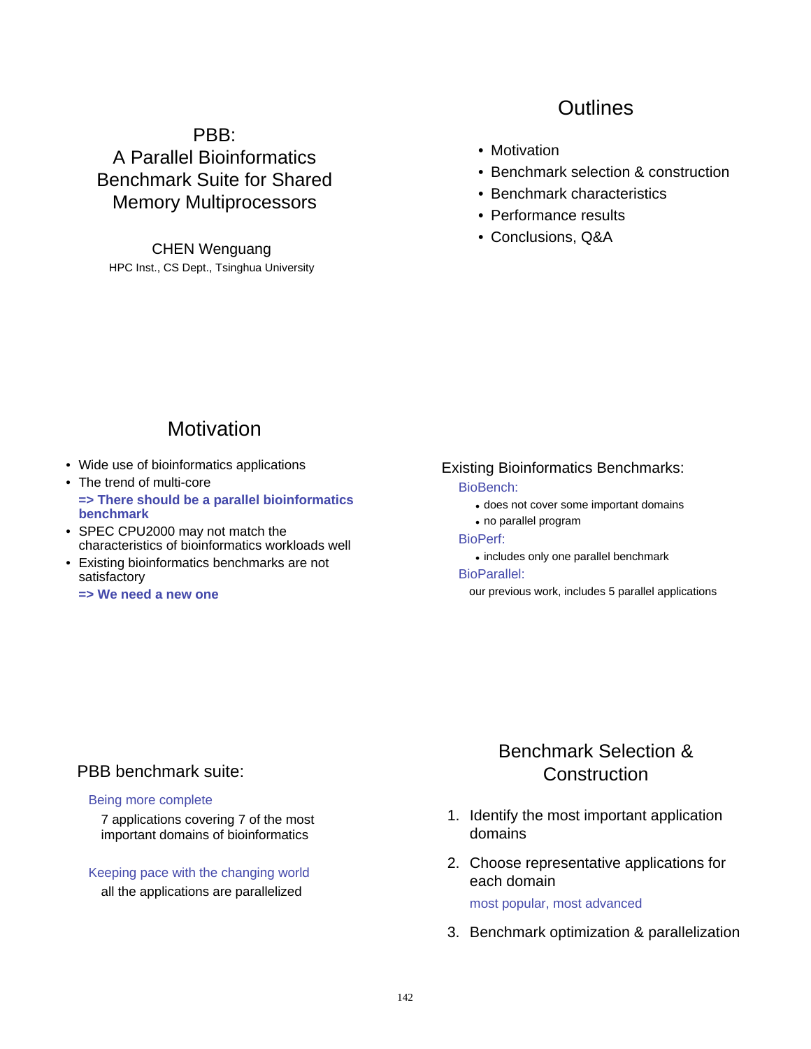## PBB: A Parallel Bioinformatics Benchmark Suite for Shared Memory Multiprocessors

CHEN Wenguang HPC Inst., CS Dept., Tsinghua University

## **Outlines**

- Motivation
- Benchmark selection & construction
- Benchmark characteristics
- Performance results
- Conclusions, Q&A

## **Motivation**

- Wide use of bioinformatics applications
- The trend of multi-core **=> There should be a parallel bioinformatics benchmark**
- SPEC CPU2000 may not match the characteristics of bioinformatics workloads well
- Existing bioinformatics benchmarks are not satisfactory
	- **=> We need a new one**

#### Existing Bioinformatics Benchmarks:

#### BioBench:

- . does not cover some important domains
- ! no parallel program

#### BioPerf:

. includes only one parallel benchmark

#### BioParallel:

our previous work, includes 5 parallel applications

#### PBB benchmark suite:

#### Being more complete

7 applications covering 7 of the most important domains of bioinformatics

Keeping pace with the changing world all the applications are parallelized

## Benchmark Selection & **Construction**

- 1. Identify the most important application domains
- 2. Choose representative applications for each domain

most popular, most advanced

3. Benchmark optimization & parallelization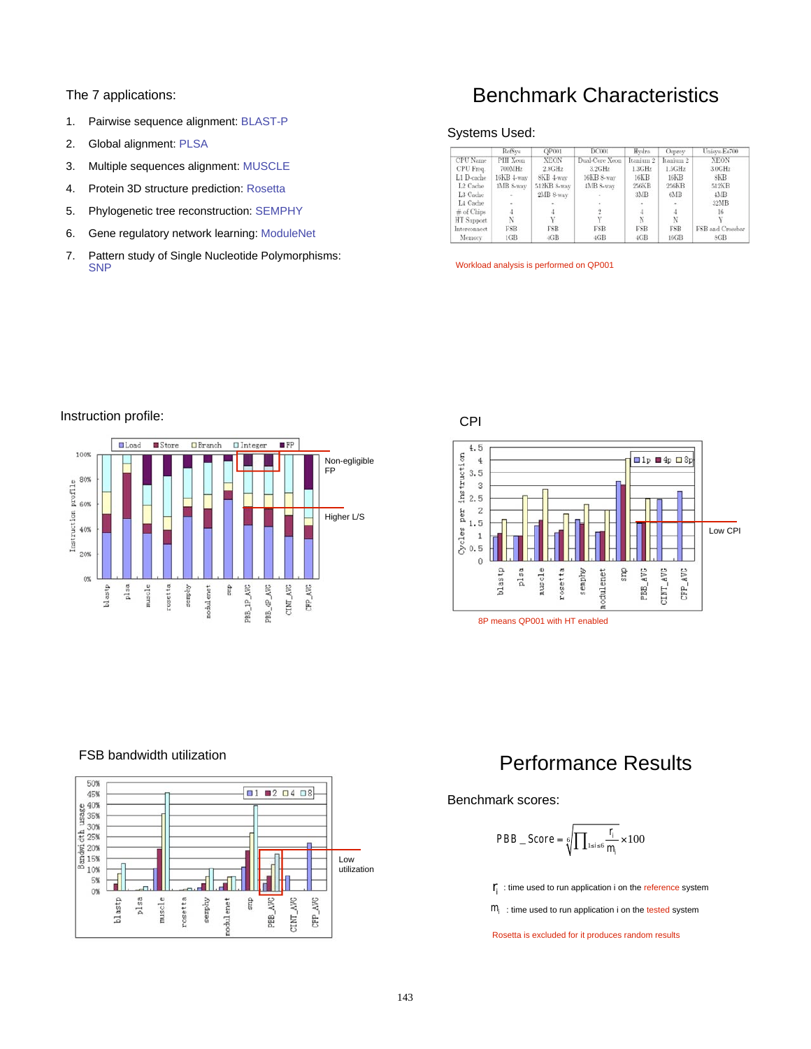#### The 7 applications:

- 1. Pairwise sequence alignment: BLAST-P
- 2. Global alignment: PLSA
- 3. Multiple sequences alignment: MUSCLE
- 4. Protein 3D structure prediction: Rosetta
- 5. Phylogenetic tree reconstruction: SEMPHY
- 6. Gene regulatory network learning: ModuleNet
- 7. Pattern study of Single Nucleotide Polymorphisms: **SNP**

## Benchmark Characteristics

#### Systems Used:

|                      | RefSvs       | OP001           | <b>DC001</b>    | Hydra           | <b>Osprey</b> | Unisys-Es700                       |
|----------------------|--------------|-----------------|-----------------|-----------------|---------------|------------------------------------|
| CPU Name             | PIII Xeon    | <b>XEON</b>     | Dual-Core Xeon  | Itanium 2       | Itanium 2     | <b>XEON</b>                        |
| CPU Freq.            | 700MHz       | $2.8\text{GHz}$ | $3.2\text{GHz}$ | $1.3\text{GHz}$ | 1.5GHz        | $3.0$ GH <sub><math>2</math></sub> |
| L1 D-cache           | $16KB$ 4-way | SKB 4-way       | 16KB 8-way      | 16KB            | 16KB          | 8KB                                |
| L <sub>2</sub> Cache | 1MB 8-way    | 512KB 8-way     | 4MB 8-way       | 256KB           | 256KB         | 512KB                              |
| L3 Cache             |              | 2MB 8-way       |                 | 3MB             | 6MB           | 4MB                                |
| L4 Cache             |              |                 |                 |                 |               | 32MB                               |
| $#$ of Chips         |              |                 |                 |                 |               | 16                                 |
| HT Support           | N            |                 |                 | N               | N             |                                    |
| Interconnect         | <b>FSB</b>   | FSB             | <b>FSB</b>      | <b>FSB</b>      | FSB           | FSB and Crossbar                   |
| Memory               | 1GB          | 4GB             | 4GB             | 4GB             | 16GB          | <b>SGB</b>                         |

Workload analysis is performed on QP001



#### Instruction profile:



#### FSB bandwidth utilization



## Performance Results

#### Benchmark scores:

$$
PBB\_Score = \sqrt[6]{\prod_{1 \le i \le 6} \frac{r_i}{m_i}} \times 100
$$

 $r_i$ : time used to run application i on the reference system

 $m<sub>i</sub>$ : time used to run application i on the tested system

Rosetta is excluded for it produces random results